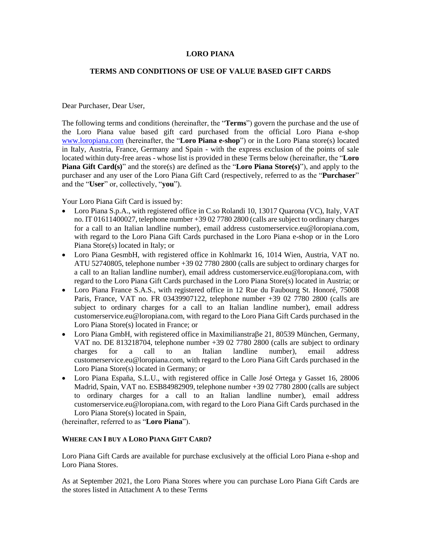### **LORO PIANA**

### **TERMS AND CONDITIONS OF USE OF VALUE BASED GIFT CARDS**

Dear Purchaser, Dear User,

The following terms and conditions (hereinafter, the "**Terms**") govern the purchase and the use of the Loro Piana value based gift card purchased from the official Loro Piana e-shop [www.loropiana.com](http://www.loropiana.com/) (hereinafter, the "**Loro Piana e-shop**") or in the Loro Piana store(s) located in Italy, Austria, France, Germany and Spain - with the express exclusion of the points of sale located within duty-free areas - whose list is provided in these Terms below (hereinafter, the "**Loro Piana Gift Card(s)**" and the store(s) are defined as the "**Loro Piana Store(s)**"), and apply to the purchaser and any user of the Loro Piana Gift Card (respectively, referred to as the "**Purchaser**" and the "**User**" or, collectively, "**you**").

Your Loro Piana Gift Card is issued by:

- Loro Piana S.p.A., with registered office in C.so Rolandi 10, 13017 Quarona (VC), Italy, VAT no. IT 01611400027, telephone numbe[r +39 02 7780 2800](tel:+39%2002%207780%202800) (calls are subject to ordinary charges for a call to an Italian landline number), email address [customerservice.eu@loropiana.com,](mailto:customerservice.eu@loropiana.com) with regard to the Loro Piana Gift Cards purchased in the Loro Piana e-shop or in the Loro Piana Store(s) located in Italy; or
- Loro Piana GesmbH, with registered office in Kohlmarkt 16, 1014 Wien, Austria, VAT no. ATU 52740805, telephone number [+39 02 7780 2800](tel:+39%2002%207780%202800) (calls are subject to ordinary charges for a call to an Italian landline number), email address [customerservice.eu@loropiana.com,](mailto:customerservice.eu@loropiana.com) with regard to the Loro Piana Gift Cards purchased in the Loro Piana Store(s) located in Austria; or
- Loro Piana France S.A.S., with registered office in 12 Rue du Faubourg St. Honoré, 75008 Paris, France, VAT no. FR 03439907122, telephone number [+39 02 7780 2800](tel:+39%2002%207780%202800) (calls are subject to ordinary charges for a call to an Italian landline number), email address [customerservice.eu@loropiana.com,](mailto:customerservice.eu@loropiana.com) with regard to the Loro Piana Gift Cards purchased in the Loro Piana Store(s) located in France; or
- Loro Piana GmbH, with registered office in Maximilianstra $\beta$ e 21, 80539 München, Germany, VAT no. DE 813218704, telephone number [+39 02 7780 2800](tel:+39%2002%207780%202800) (calls are subject to ordinary charges for a call to an Italian landline number), email address [customerservice.eu@loropiana.com,](mailto:customerservice.eu@loropiana.com) with regard to the Loro Piana Gift Cards purchased in the Loro Piana Store(s) located in Germany; or
- Loro Piana España, S.L.U., with registered office in Calle José Ortega y Gasset 16, 28006 Madrid, Spain, VAT no. ESB84982909, telephone numbe[r +39 02 7780 2800](tel:+39%2002%207780%202800) (calls are subject to ordinary charges for a call to an Italian landline number), email address [customerservice.eu@loropiana.com,](mailto:customerservice.eu@loropiana.com) with regard to the Loro Piana Gift Cards purchased in the Loro Piana Store(s) located in Spain,

(hereinafter, referred to as "**Loro Piana**").

### **WHERE CAN I BUY A LORO PIANA GIFT CARD?**

Loro Piana Gift Cards are available for purchase exclusively at the official Loro Piana e-shop and Loro Piana Stores.

As at September 2021, the Loro Piana Stores where you can purchase Loro Piana Gift Cards are the stores listed in Attachment A to these Terms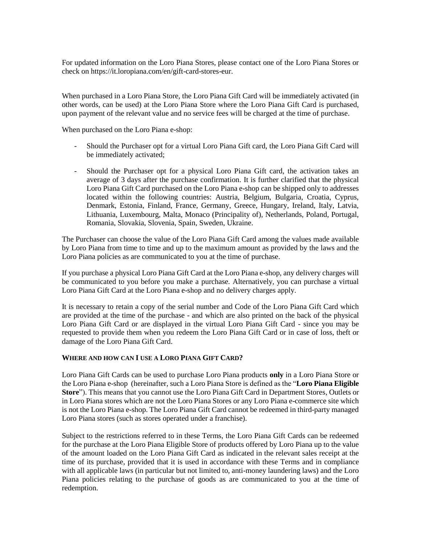For updated information on the Loro Piana Stores, please contact one of the Loro Piana Stores or check on https://it.loropiana.com/en/gift-card-stores-eur.

When purchased in a Loro Piana Store, the Loro Piana Gift Card will be immediately activated (in other words, can be used) at the Loro Piana Store where the Loro Piana Gift Card is purchased, upon payment of the relevant value and no service fees will be charged at the time of purchase.

When purchased on the Loro Piana e-shop:

- Should the Purchaser opt for a virtual Loro Piana Gift card, the Loro Piana Gift Card will be immediately activated;
- Should the Purchaser opt for a physical Loro Piana Gift card, the activation takes an average of 3 days after the purchase confirmation. It is further clarified that the physical Loro Piana Gift Card purchased on the Loro Piana e-shop can be shipped only to addresses located within the following countries: Austria, Belgium, Bulgaria, Croatia, Cyprus, Denmark, Estonia, Finland, France, Germany, Greece, Hungary, Ireland, Italy, Latvia, Lithuania, Luxembourg, Malta, Monaco (Principality of), Netherlands, Poland, Portugal, Romania, Slovakia, Slovenia, Spain, Sweden, Ukraine.

The Purchaser can choose the value of the Loro Piana Gift Card among the values made available by Loro Piana from time to time and up to the maximum amount as provided by the laws and the Loro Piana policies as are communicated to you at the time of purchase.

If you purchase a physical Loro Piana Gift Card at the Loro Piana e-shop, any delivery charges will be communicated to you before you make a purchase. Alternatively, you can purchase a virtual Loro Piana Gift Card at the Loro Piana e-shop and no delivery charges apply.

It is necessary to retain a copy of the serial number and Code of the Loro Piana Gift Card which are provided at the time of the purchase - and which are also printed on the back of the physical Loro Piana Gift Card or are displayed in the virtual Loro Piana Gift Card - since you may be requested to provide them when you redeem the Loro Piana Gift Card or in case of loss, theft or damage of the Loro Piana Gift Card.

### **WHERE AND HOW CAN I USE A LORO PIANA GIFT CARD?**

Loro Piana Gift Cards can be used to purchase Loro Piana products **only** in a Loro Piana Store or the Loro Piana e-shop (hereinafter, such a Loro Piana Store is defined as the "**Loro Piana Eligible Store**"). This means that you cannot use the Loro Piana Gift Card in Department Stores, Outlets or in Loro Piana stores which are not the Loro Piana Stores or any Loro Piana e-commerce site which is not the Loro Piana e-shop. The Loro Piana Gift Card cannot be redeemed in third-party managed Loro Piana stores (such as stores operated under a franchise).

Subject to the restrictions referred to in these Terms, the Loro Piana Gift Cards can be redeemed for the purchase at the Loro Piana Eligible Store of products offered by Loro Piana up to the value of the amount loaded on the Loro Piana Gift Card as indicated in the relevant sales receipt at the time of its purchase, provided that it is used in accordance with these Terms and in compliance with all applicable laws (in particular but not limited to, anti-money laundering laws) and the Loro Piana policies relating to the purchase of goods as are communicated to you at the time of redemption.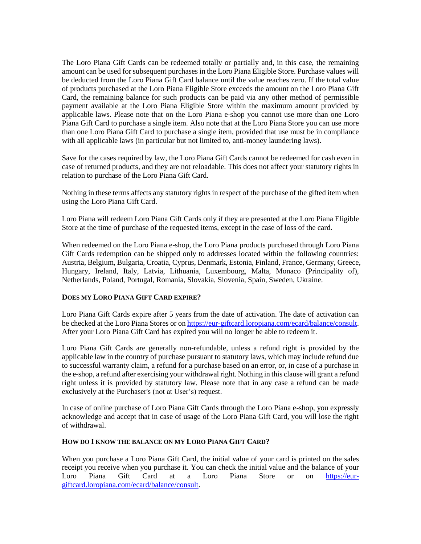The Loro Piana Gift Cards can be redeemed totally or partially and, in this case, the remaining amount can be used for subsequent purchases in the Loro Piana Eligible Store. Purchase values will be deducted from the Loro Piana Gift Card balance until the value reaches zero. If the total value of products purchased at the Loro Piana Eligible Store exceeds the amount on the Loro Piana Gift Card, the remaining balance for such products can be paid via any other method of permissible payment available at the Loro Piana Eligible Store within the maximum amount provided by applicable laws. Please note that on the Loro Piana e-shop you cannot use more than one Loro Piana Gift Card to purchase a single item. Also note that at the Loro Piana Store you can use more than one Loro Piana Gift Card to purchase a single item, provided that use must be in compliance with all applicable laws (in particular but not limited to, anti-money laundering laws).

Save for the cases required by law, the Loro Piana Gift Cards cannot be redeemed for cash even in case of returned products, and they are not reloadable. This does not affect your statutory rights in relation to purchase of the Loro Piana Gift Card.

Nothing in these terms affects any statutory rights in respect of the purchase of the gifted item when using the Loro Piana Gift Card.

Loro Piana will redeem Loro Piana Gift Cards only if they are presented at the Loro Piana Eligible Store at the time of purchase of the requested items, except in the case of loss of the card.

When redeemed on the Loro Piana e-shop, the Loro Piana products purchased through Loro Piana Gift Cards redemption can be shipped only to addresses located within the following countries: Austria, Belgium, Bulgaria, Croatia, Cyprus, Denmark, Estonia, Finland, France, Germany, Greece, Hungary, Ireland, Italy, Latvia, Lithuania, Luxembourg, Malta, Monaco (Principality of), Netherlands, Poland, Portugal, Romania, Slovakia, Slovenia, Spain, Sweden, Ukraine.

### **DOES MY LORO PIANA GIFT CARD EXPIRE?**

Loro Piana Gift Cards expire after 5 years from the date of activation. The date of activation can be checked at the Loro Piana Stores or on [https://eur-giftcard.loropiana.com/ecard/balance/consult.](https://eur-giftcard.loropiana.com/ecard/balance/consult) After your Loro Piana Gift Card has expired you will no longer be able to redeem it.

Loro Piana Gift Cards are generally non-refundable, unless a refund right is provided by the applicable law in the country of purchase pursuant to statutory laws, which may include refund due to successful warranty claim, a refund for a purchase based on an error, or, in case of a purchase in the e-shop, a refund after exercising your withdrawal right. Nothing in this clause will grant a refund right unless it is provided by statutory law. Please note that in any case a refund can be made exclusively at the Purchaser's (not at User's) request.

In case of online purchase of Loro Piana Gift Cards through the Loro Piana e-shop, you expressly acknowledge and accept that in case of usage of the Loro Piana Gift Card, you will lose the right of withdrawal.

## **HOW DO I KNOW THE BALANCE ON MY LORO PIANA GIFT CARD?**

When you purchase a Loro Piana Gift Card, the initial value of your card is printed on the sales receipt you receive when you purchase it. You can check the initial value and the balance of your Loro Piana Gift Card at a Loro Piana Store or on [https://eur](https://eur-giftcard.loropiana.com/ecard/balance/consult)[giftcard.loropiana.com/ecard/balance/consult.](https://eur-giftcard.loropiana.com/ecard/balance/consult)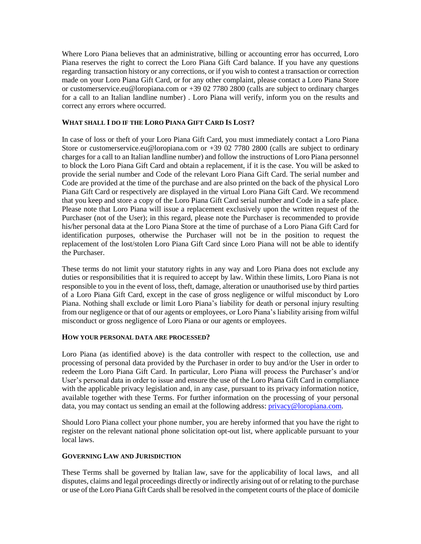Where Loro Piana believes that an administrative, billing or accounting error has occurred, Loro Piana reserves the right to correct the Loro Piana Gift Card balance. If you have any questions regarding transaction history or any corrections, or if you wish to contest a transaction or correction made on your Loro Piana Gift Card, or for any other complaint, please contact a Loro Piana Store or [customerservice.eu@loropiana.com](mailto:customerservice.eu@loropiana.com) or [+39 02 7780 2800](tel:+39%2002%207780%202800) (calls are subject to ordinary charges for a call to an Italian landline number) . Loro Piana will verify, inform you on the results and correct any errors where occurred.

## **WHAT SHALL I DO IF THE LORO PIANA GIFT CARD IS LOST?**

In case of loss or theft of your Loro Piana Gift Card, you must immediately contact a Loro Piana Store or [customerservice.eu@loropiana.com](mailto:customerservice.eu@loropiana.com) or [+39 02 7780 2800](tel:+39%2002%207780%202800) (calls are subject to ordinary charges for a call to an Italian landline number) and follow the instructions of Loro Piana personnel to block the Loro Piana Gift Card and obtain a replacement, if it is the case. You will be asked to provide the serial number and Code of the relevant Loro Piana Gift Card. The serial number and Code are provided at the time of the purchase and are also printed on the back of the physical Loro Piana Gift Card or respectively are displayed in the virtual Loro Piana Gift Card. We recommend that you keep and store a copy of the Loro Piana Gift Card serial number and Code in a safe place. Please note that Loro Piana will issue a replacement exclusively upon the written request of the Purchaser (not of the User); in this regard, please note the Purchaser is recommended to provide his/her personal data at the Loro Piana Store at the time of purchase of a Loro Piana Gift Card for identification purposes, otherwise the Purchaser will not be in the position to request the replacement of the lost/stolen Loro Piana Gift Card since Loro Piana will not be able to identify the Purchaser.

These terms do not limit your statutory rights in any way and Loro Piana does not exclude any duties or responsibilities that it is required to accept by law. Within these limits, Loro Piana is not responsible to you in the event of loss, theft, damage, alteration or unauthorised use by third parties of a Loro Piana Gift Card, except in the case of gross negligence or wilful misconduct by Loro Piana. Nothing shall exclude or limit Loro Piana's liability for death or personal injury resulting from our negligence or that of our agents or employees, or Loro Piana's liability arising from wilful misconduct or gross negligence of Loro Piana or our agents or employees.

### **HOW YOUR PERSONAL DATA ARE PROCESSED?**

Loro Piana (as identified above) is the data controller with respect to the collection, use and processing of personal data provided by the Purchaser in order to buy and/or the User in order to redeem the Loro Piana Gift Card. In particular, Loro Piana will process the Purchaser's and/or User's personal data in order to issue and ensure the use of the Loro Piana Gift Card in compliance with the applicable privacy legislation and, in any case, pursuant to its privacy information notice, available together with these Terms. For further information on the processing of your personal data, you may contact us sending an email at the following address: [privacy@loropiana.com.](mailto:privacy@loropiana.com)

Should Loro Piana collect your phone number, you are hereby informed that you have the right to register on the relevant national phone solicitation opt-out list, where applicable pursuant to your local laws.

### **GOVERNING LAW AND JURISDICTION**

These Terms shall be governed by Italian law, save for the applicability of local laws, and all disputes, claims and legal proceedings directly or indirectly arising out of or relating to the purchase or use of the Loro Piana Gift Cards shall be resolved in the competent courts of the place of domicile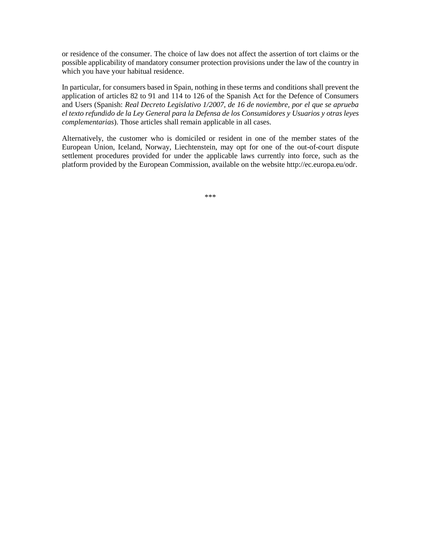or residence of the consumer. The choice of law does not affect the assertion of tort claims or the possible applicability of mandatory consumer protection provisions under the law of the country in which you have your habitual residence.

In particular, for consumers based in Spain, nothing in these terms and conditions shall prevent the application of articles 82 to 91 and 114 to 126 of the Spanish Act for the Defence of Consumers and Users (Spanish: *Real Decreto Legislativo 1/2007, de 16 de noviembre, por el que se aprueba el texto refundido de la Ley General para la Defensa de los Consumidores y Usuarios y otras leyes complementarias*). Those articles shall remain applicable in all cases.

Alternatively, the customer who is domiciled or resident in one of the member states of the European Union, Iceland, Norway, Liechtenstein, may opt for one of the out-of-court dispute settlement procedures provided for under the applicable laws currently into force, such as the platform provided by the European Commission, available on the website http://ec.europa.eu/odr.

\*\*\*